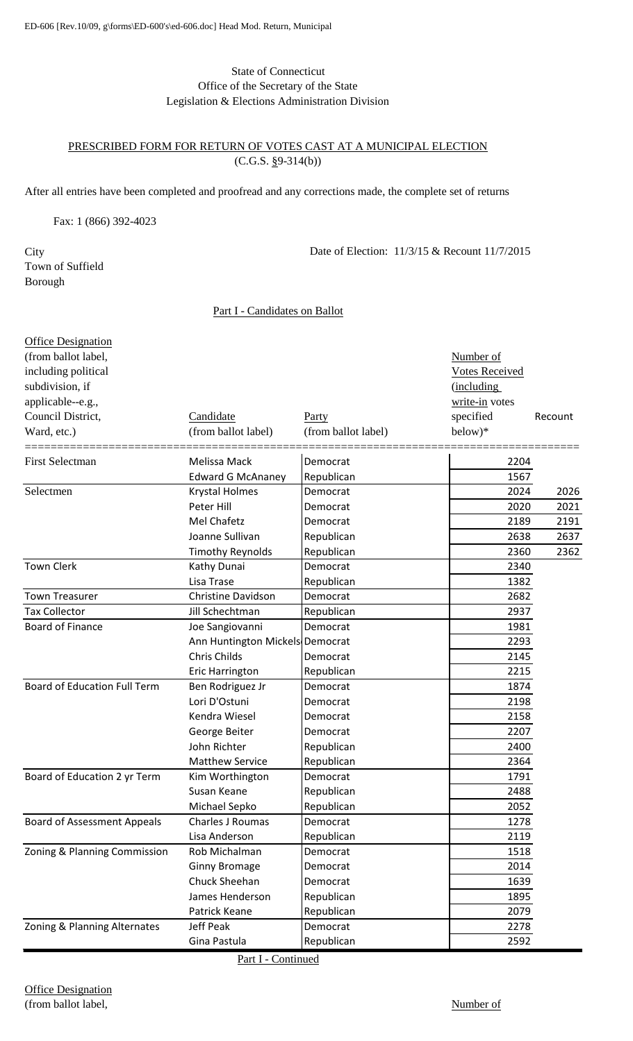### State of Connecticut Office of the Secretary of the State Legislation & Elections Administration Division

#### PRESCRIBED FORM FOR RETURN OF VOTES CAST AT A MUNICIPAL ELECTION  $(C.G.S. §9-314(b))$

After all entries have been completed and proofread and any corrections made, the complete set of returns

Fax: 1 (866) 392-4023

**City** Town of Suffield Borough

Date of Election: 11/3/15 & Recount 11/7/2015

#### Part I - Candidates on Ballot

| <b>Office Designation</b>           |                                 |                     |                       |         |
|-------------------------------------|---------------------------------|---------------------|-----------------------|---------|
| (from ballot label,                 |                                 |                     | Number of             |         |
| including political                 |                                 |                     | <b>Votes Received</b> |         |
| subdivision, if                     |                                 |                     | (including            |         |
| applicable--e.g.,                   |                                 |                     | write-in votes        |         |
| Council District,                   | Candidate                       | Party               | specified             | Recount |
| Ward, etc.)                         | (from ballot label)             | (from ballot label) | below)*               |         |
| <b>First Selectman</b>              | Melissa Mack                    | Democrat            | 2204                  |         |
|                                     | <b>Edward G McAnaney</b>        | Republican          | 1567                  |         |
| Selectmen                           | Krystal Holmes                  | Democrat            | 2024                  | 2026    |
|                                     | Peter Hill                      | Democrat            | 2020                  | 2021    |
|                                     | Mel Chafetz                     | Democrat            | 2189                  | 2191    |
|                                     | Joanne Sullivan                 | Republican          | 2638                  | 2637    |
|                                     | <b>Timothy Reynolds</b>         | Republican          | 2360                  | 2362    |
| <b>Town Clerk</b>                   | Kathy Dunai                     | Democrat            | 2340                  |         |
|                                     | Lisa Trase                      | Republican          | 1382                  |         |
| <b>Town Treasurer</b>               | Christine Davidson              | Democrat            | 2682                  |         |
| <b>Tax Collector</b>                | Jill Schechtman                 | Republican          | 2937                  |         |
| <b>Board of Finance</b>             | Joe Sangiovanni                 | Democrat            | 1981                  |         |
|                                     | Ann Huntington Mickels Democrat |                     | 2293                  |         |
|                                     | Chris Childs                    | Democrat            | 2145                  |         |
|                                     | <b>Eric Harrington</b>          | Republican          | 2215                  |         |
| <b>Board of Education Full Term</b> | Ben Rodriguez Jr                | Democrat            | 1874                  |         |
|                                     | Lori D'Ostuni                   | Democrat            | 2198                  |         |
|                                     | Kendra Wiesel                   | Democrat            | 2158                  |         |
|                                     | George Beiter                   | Democrat            | 2207                  |         |
|                                     | John Richter                    | Republican          | 2400                  |         |
|                                     | <b>Matthew Service</b>          | Republican          | 2364                  |         |
| Board of Education 2 yr Term        | Kim Worthington                 | Democrat            | 1791                  |         |
|                                     | Susan Keane                     | Republican          | 2488                  |         |
|                                     | Michael Sepko                   | Republican          | 2052                  |         |
| <b>Board of Assessment Appeals</b>  | Charles J Roumas                | Democrat            | 1278                  |         |
|                                     | Lisa Anderson                   | Republican          | 2119                  |         |
| Zoning & Planning Commission        | Rob Michalman                   | Democrat            | 1518                  |         |
|                                     | <b>Ginny Bromage</b>            | Democrat            | 2014                  |         |
|                                     | Chuck Sheehan                   | Democrat            | 1639                  |         |
|                                     | James Henderson                 | Republican          | 1895                  |         |
|                                     | Patrick Keane                   | Republican          | 2079                  |         |
| Zoning & Planning Alternates        | <b>Jeff Peak</b>                | Democrat            | 2278                  |         |
|                                     | Gina Pastula                    | Republican          | 2592                  |         |

Part I - Continued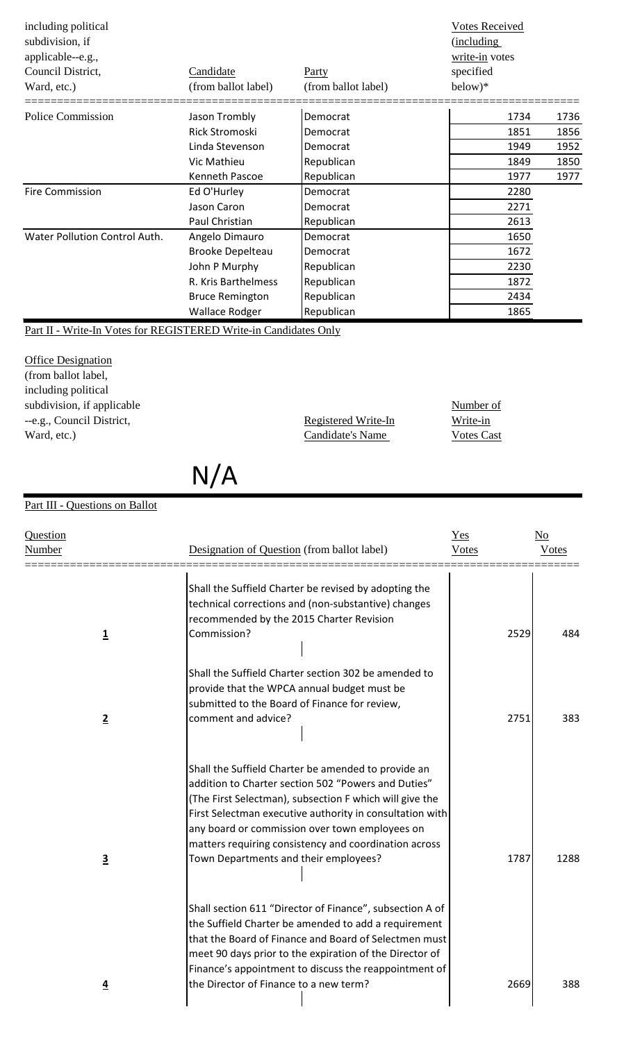| including political<br>subdivision, if<br>applicable--e.g.,<br>Council District,<br>Ward, etc.) | Candidate<br>(from ballot label) | Party<br>(from ballot label) | <b>Votes Received</b><br>(including<br>write-in votes<br>specified<br>$below)*$ |      |
|-------------------------------------------------------------------------------------------------|----------------------------------|------------------------------|---------------------------------------------------------------------------------|------|
| <b>Police Commission</b>                                                                        | Jason Trombly                    | Democrat                     | 1734                                                                            | 1736 |
|                                                                                                 | Rick Stromoski                   | Democrat                     | 1851                                                                            | 1856 |
|                                                                                                 | Linda Stevenson                  | Democrat                     | 1949                                                                            | 1952 |
|                                                                                                 | Vic Mathieu                      | Republican                   | 1849                                                                            | 1850 |
|                                                                                                 | Kenneth Pascoe                   | Republican                   | 1977                                                                            | 1977 |
| <b>Fire Commission</b>                                                                          | Ed O'Hurley                      | Democrat                     | 2280                                                                            |      |
|                                                                                                 | Jason Caron                      | Democrat                     | 2271                                                                            |      |
|                                                                                                 | Paul Christian                   | Republican                   | 2613                                                                            |      |
| Water Pollution Control Auth.                                                                   | Angelo Dimauro                   | Democrat                     | 1650                                                                            |      |
|                                                                                                 | <b>Brooke Depelteau</b>          | Democrat                     | 1672                                                                            |      |
|                                                                                                 | John P Murphy                    | Republican                   | 2230                                                                            |      |
|                                                                                                 | R. Kris Barthelmess              | Republican                   | 1872                                                                            |      |
|                                                                                                 | <b>Bruce Remington</b>           | Republican                   | 2434                                                                            |      |
|                                                                                                 | <b>Wallace Rodger</b>            | Republican                   | 1865                                                                            |      |

Part II - Write-In Votes for REGISTERED Write-in Candidates Only

**Office Designation** (from ballot label, including political subdivision, if applicable Number of Number of --e.g., Council District, The Registered Write-In Write-in Ward, etc.) Candidate's Name Votes Cast

N/A

# Part III - Questions on Ballot

| Shall the Suffield Charter be revised by adopting the<br>technical corrections and (non-substantive) changes<br>recommended by the 2015 Charter Revision<br>Shall the Suffield Charter section 302 be amended to<br>provide that the WPCA annual budget must be<br>submitted to the Board of Finance for review,                             | 2529                                                                                                                                                                                                                                                                                                                                                                             | 484  |
|----------------------------------------------------------------------------------------------------------------------------------------------------------------------------------------------------------------------------------------------------------------------------------------------------------------------------------------------|----------------------------------------------------------------------------------------------------------------------------------------------------------------------------------------------------------------------------------------------------------------------------------------------------------------------------------------------------------------------------------|------|
|                                                                                                                                                                                                                                                                                                                                              |                                                                                                                                                                                                                                                                                                                                                                                  |      |
| comment and advice?                                                                                                                                                                                                                                                                                                                          | 2751                                                                                                                                                                                                                                                                                                                                                                             | 383  |
| Shall the Suffield Charter be amended to provide an<br>addition to Charter section 502 "Powers and Duties"<br>(The First Selectman), subsection F which will give the<br>First Selectman executive authority in consultation with<br>any board or commission over town employees on<br>matters requiring consistency and coordination across | 1787                                                                                                                                                                                                                                                                                                                                                                             | 1288 |
|                                                                                                                                                                                                                                                                                                                                              |                                                                                                                                                                                                                                                                                                                                                                                  | 388  |
|                                                                                                                                                                                                                                                                                                                                              | Town Departments and their employees?<br>Shall section 611 "Director of Finance", subsection A of<br>the Suffield Charter be amended to add a requirement<br>that the Board of Finance and Board of Selectmen must<br>meet 90 days prior to the expiration of the Director of<br>Finance's appointment to discuss the reappointment of<br>the Director of Finance to a new term? | 2669 |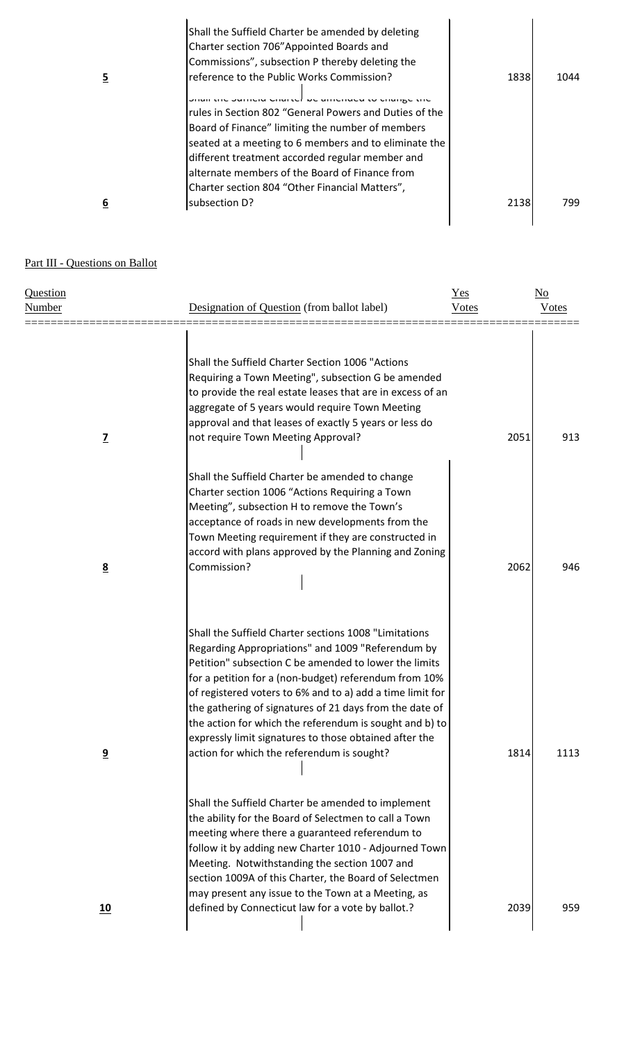|   | Shall the Suffield Charter be amended by deleting      |      |      |
|---|--------------------------------------------------------|------|------|
|   | Charter section 706" Appointed Boards and              |      |      |
|   | Commissions", subsection P thereby deleting the        |      |      |
| 5 | reference to the Public Works Commission?              | 1838 | 1044 |
|   | ion the Junior Chartel be amended to change the        |      |      |
|   | rules in Section 802 "General Powers and Duties of the |      |      |
|   | Board of Finance" limiting the number of members       |      |      |
|   | seated at a meeting to 6 members and to eliminate the  |      |      |
|   | different treatment accorded regular member and        |      |      |
|   | alternate members of the Board of Finance from         |      |      |
|   | Charter section 804 "Other Financial Matters",         |      |      |
| 6 | subsection D?                                          | 2138 | 799. |
|   |                                                        |      |      |

## Part III - Questions on Ballot

| Question<br><b>Number</b> |                         | Designation of Question (from ballot label)                                                                                                                                                                                                                                                                                                                                                                                                                                                                             | $Yes$<br><b>Votes</b> | $\underline{\mathrm{No}}$<br><b>Votes</b> |
|---------------------------|-------------------------|-------------------------------------------------------------------------------------------------------------------------------------------------------------------------------------------------------------------------------------------------------------------------------------------------------------------------------------------------------------------------------------------------------------------------------------------------------------------------------------------------------------------------|-----------------------|-------------------------------------------|
|                           | $\overline{L}$          | Shall the Suffield Charter Section 1006 "Actions<br>Requiring a Town Meeting", subsection G be amended<br>to provide the real estate leases that are in excess of an<br>aggregate of 5 years would require Town Meeting<br>approval and that leases of exactly 5 years or less do<br>not require Town Meeting Approval?                                                                                                                                                                                                 | 2051                  | 913                                       |
|                           | $\underline{8}$         | Shall the Suffield Charter be amended to change<br>Charter section 1006 "Actions Requiring a Town<br>Meeting", subsection H to remove the Town's<br>acceptance of roads in new developments from the<br>Town Meeting requirement if they are constructed in<br>accord with plans approved by the Planning and Zoning<br>Commission?                                                                                                                                                                                     | 2062                  | 946                                       |
|                           | $\overline{\mathbf{9}}$ | Shall the Suffield Charter sections 1008 "Limitations<br>Regarding Appropriations" and 1009 "Referendum by<br>Petition" subsection C be amended to lower the limits<br>for a petition for a (non-budget) referendum from 10%<br>of registered voters to 6% and to a) add a time limit for<br>the gathering of signatures of 21 days from the date of<br>the action for which the referendum is sought and b) to<br>expressly limit signatures to those obtained after the<br>action for which the referendum is sought? | 1814                  | 1113                                      |
|                           | 10                      | Shall the Suffield Charter be amended to implement<br>the ability for the Board of Selectmen to call a Town<br>meeting where there a guaranteed referendum to<br>follow it by adding new Charter 1010 - Adjourned Town<br>Meeting. Notwithstanding the section 1007 and<br>section 1009A of this Charter, the Board of Selectmen<br>may present any issue to the Town at a Meeting, as<br>defined by Connecticut law for a vote by ballot.?                                                                             | 2039                  | 959                                       |